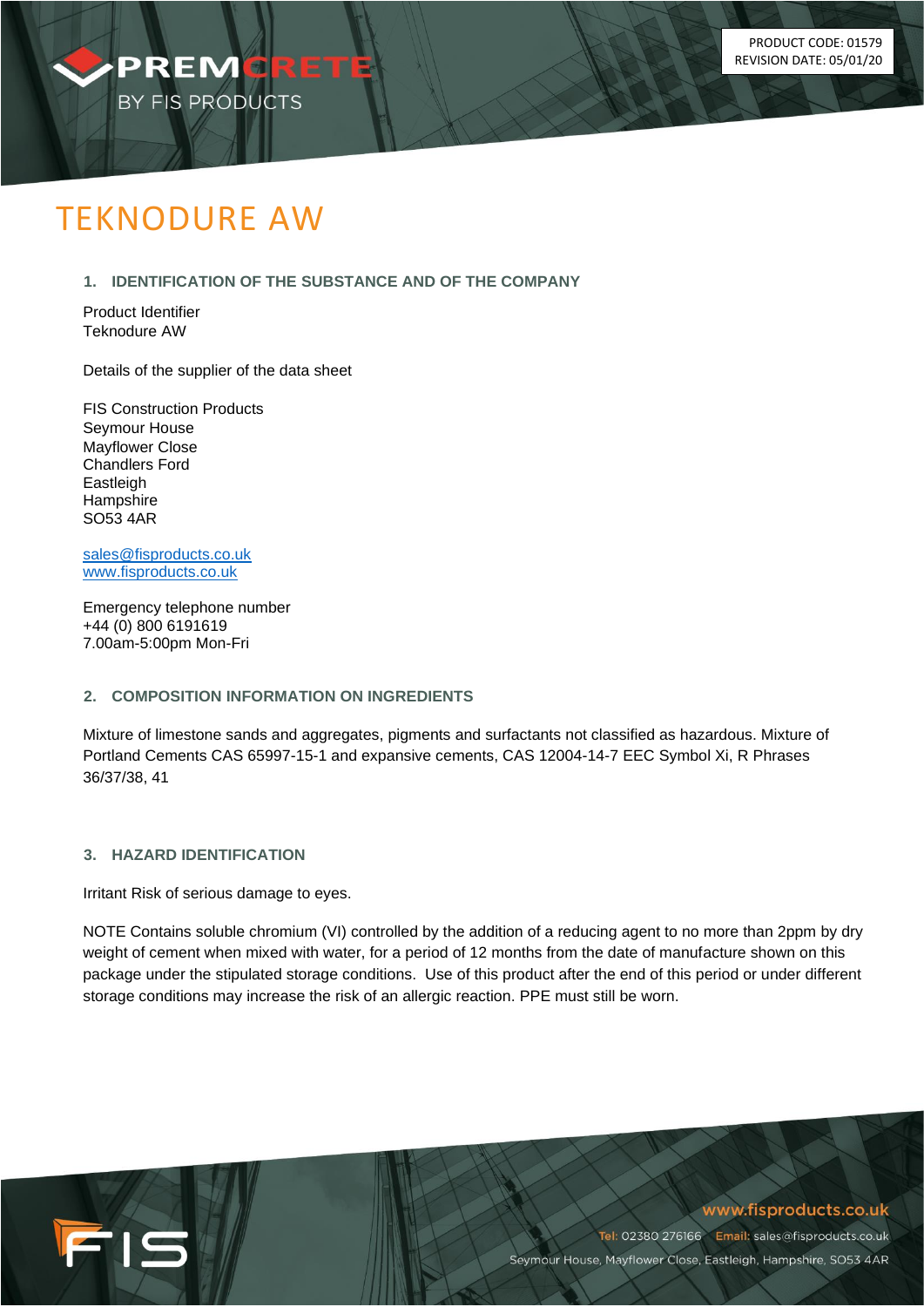

# TEKNODURE AW

# **1. IDENTIFICATION OF THE SUBSTANCE AND OF THE COMPANY**

Product Identifier Teknodure AW

Details of the supplier of the data sheet

FIS Construction Products Seymour House Mayflower Close Chandlers Ford Eastleigh **Hampshire** SO53 4AR

[sales@fisproducts.co.uk](mailto:sales@fisproducts.co.uk) [www.fisproducts.co.uk](http://www.fisproducts.co.uk/)

Emergency telephone number +44 (0) 800 6191619 7.00am-5:00pm Mon-Fri

# **2. COMPOSITION INFORMATION ON INGREDIENTS**

Mixture of limestone sands and aggregates, pigments and surfactants not classified as hazardous. Mixture of Portland Cements CAS 65997-15-1 and expansive cements, CAS 12004-14-7 EEC Symbol Xi, R Phrases 36/37/38, 41

# **3. HAZARD IDENTIFICATION**

FIS

Irritant Risk of serious damage to eyes.

NOTE Contains soluble chromium (VI) controlled by the addition of a reducing agent to no more than 2ppm by dry weight of cement when mixed with water, for a period of 12 months from the date of manufacture shown on this package under the stipulated storage conditions. Use of this product after the end of this period or under different storage conditions may increase the risk of an allergic reaction. PPE must still be worn.

www.fisproducts.co.uk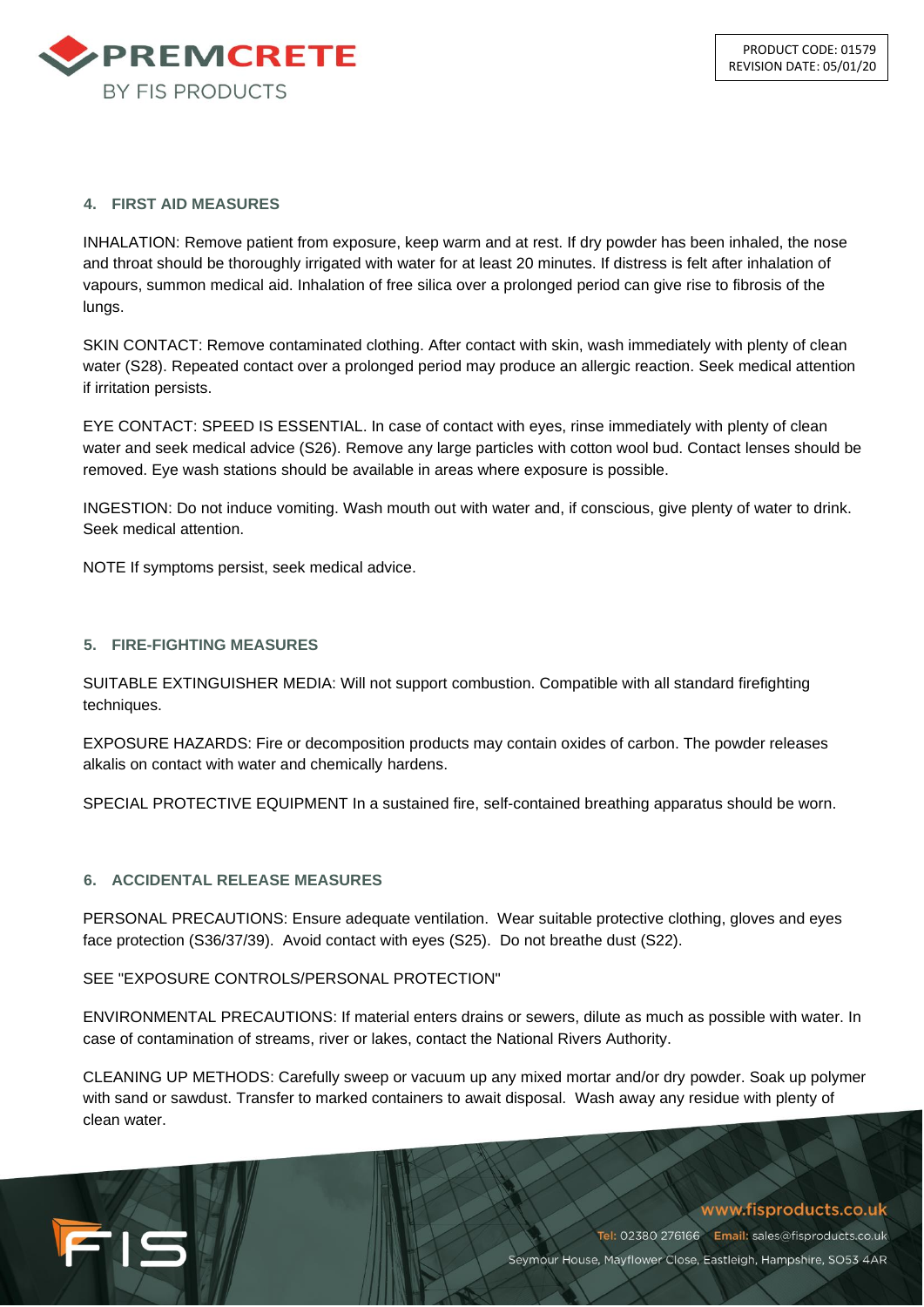

## **4. FIRST AID MEASURES**

INHALATION: Remove patient from exposure, keep warm and at rest. If dry powder has been inhaled, the nose and throat should be thoroughly irrigated with water for at least 20 minutes. If distress is felt after inhalation of vapours, summon medical aid. Inhalation of free silica over a prolonged period can give rise to fibrosis of the lungs.

SKIN CONTACT: Remove contaminated clothing. After contact with skin, wash immediately with plenty of clean water (S28). Repeated contact over a prolonged period may produce an allergic reaction. Seek medical attention if irritation persists.

EYE CONTACT: SPEED IS ESSENTIAL. In case of contact with eyes, rinse immediately with plenty of clean water and seek medical advice (S26). Remove any large particles with cotton wool bud. Contact lenses should be removed. Eye wash stations should be available in areas where exposure is possible.

INGESTION: Do not induce vomiting. Wash mouth out with water and, if conscious, give plenty of water to drink. Seek medical attention.

NOTE If symptoms persist, seek medical advice.

#### **5. FIRE-FIGHTING MEASURES**

SUITABLE EXTINGUISHER MEDIA: Will not support combustion. Compatible with all standard firefighting techniques.

EXPOSURE HAZARDS: Fire or decomposition products may contain oxides of carbon. The powder releases alkalis on contact with water and chemically hardens.

SPECIAL PROTECTIVE EQUIPMENT In a sustained fire, self-contained breathing apparatus should be worn.

## **6. ACCIDENTAL RELEASE MEASURES**

FIS

PERSONAL PRECAUTIONS: Ensure adequate ventilation. Wear suitable protective clothing, gloves and eyes face protection (S36/37/39). Avoid contact with eyes (S25). Do not breathe dust (S22).

# SEE "EXPOSURE CONTROLS/PERSONAL PROTECTION"

ENVIRONMENTAL PRECAUTIONS: If material enters drains or sewers, dilute as much as possible with water. In case of contamination of streams, river or lakes, contact the National Rivers Authority.

CLEANING UP METHODS: Carefully sweep or vacuum up any mixed mortar and/or dry powder. Soak up polymer with sand or sawdust. Transfer to marked containers to await disposal. Wash away any residue with plenty of clean water.

# www.fisproducts.co.uk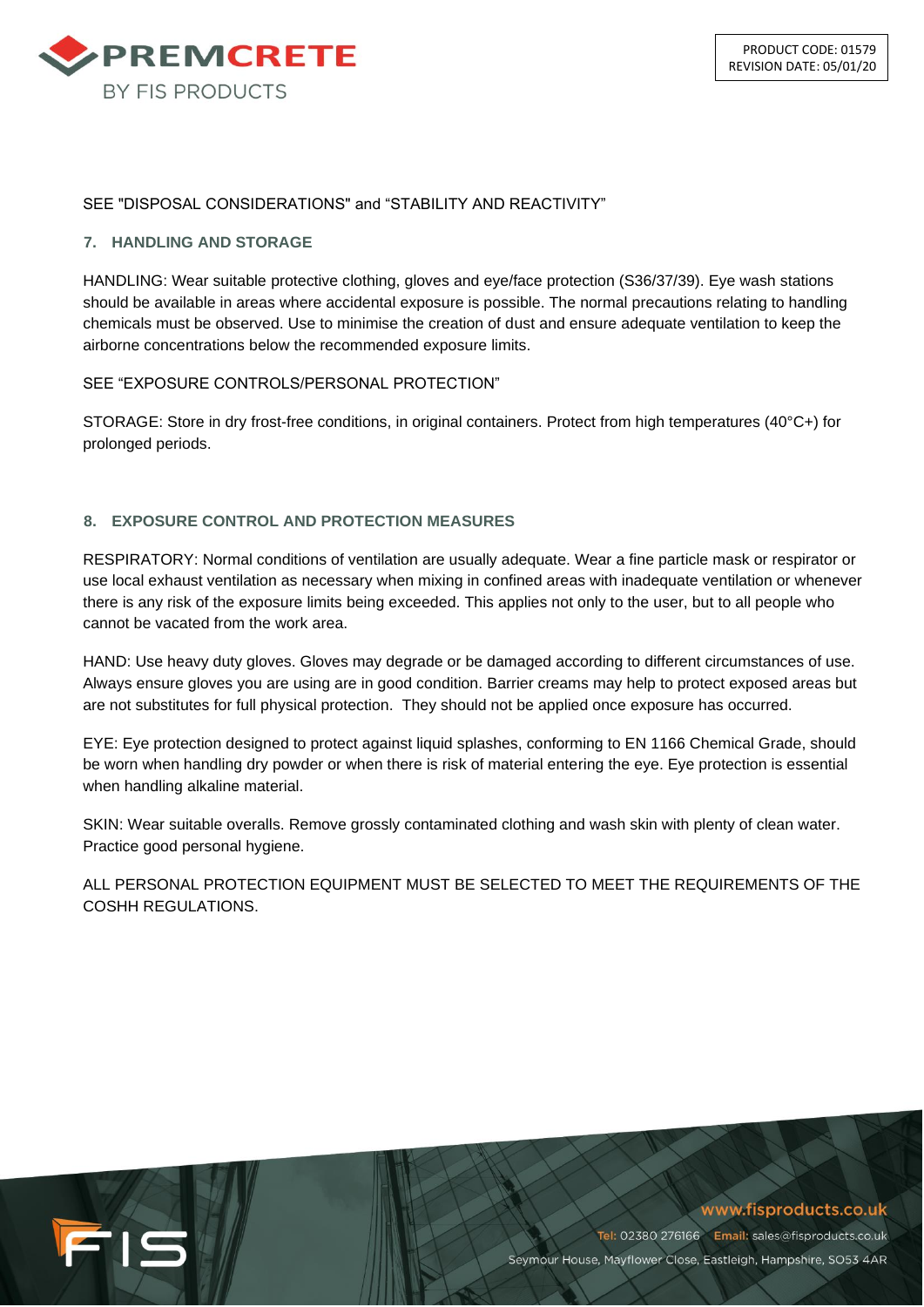

## SEE "DISPOSAL CONSIDERATIONS" and "STABILITY AND REACTIVITY"

## **7. HANDLING AND STORAGE**

HANDLING: Wear suitable protective clothing, gloves and eye/face protection (S36/37/39). Eye wash stations should be available in areas where accidental exposure is possible. The normal precautions relating to handling chemicals must be observed. Use to minimise the creation of dust and ensure adequate ventilation to keep the airborne concentrations below the recommended exposure limits.

## SEE "EXPOSURE CONTROLS/PERSONAL PROTECTION"

STORAGE: Store in dry frost-free conditions, in original containers. Protect from high temperatures (40°C+) for prolonged periods.

## **8. EXPOSURE CONTROL AND PROTECTION MEASURES**

RESPIRATORY: Normal conditions of ventilation are usually adequate. Wear a fine particle mask or respirator or use local exhaust ventilation as necessary when mixing in confined areas with inadequate ventilation or whenever there is any risk of the exposure limits being exceeded. This applies not only to the user, but to all people who cannot be vacated from the work area.

HAND: Use heavy duty gloves. Gloves may degrade or be damaged according to different circumstances of use. Always ensure gloves you are using are in good condition. Barrier creams may help to protect exposed areas but are not substitutes for full physical protection. They should not be applied once exposure has occurred.

EYE: Eye protection designed to protect against liquid splashes, conforming to EN 1166 Chemical Grade, should be worn when handling dry powder or when there is risk of material entering the eye. Eye protection is essential when handling alkaline material.

SKIN: Wear suitable overalls. Remove grossly contaminated clothing and wash skin with plenty of clean water. Practice good personal hygiene.

ALL PERSONAL PROTECTION EQUIPMENT MUST BE SELECTED TO MEET THE REQUIREMENTS OF THE COSHH REGULATIONS.



www.fisproducts.co.uk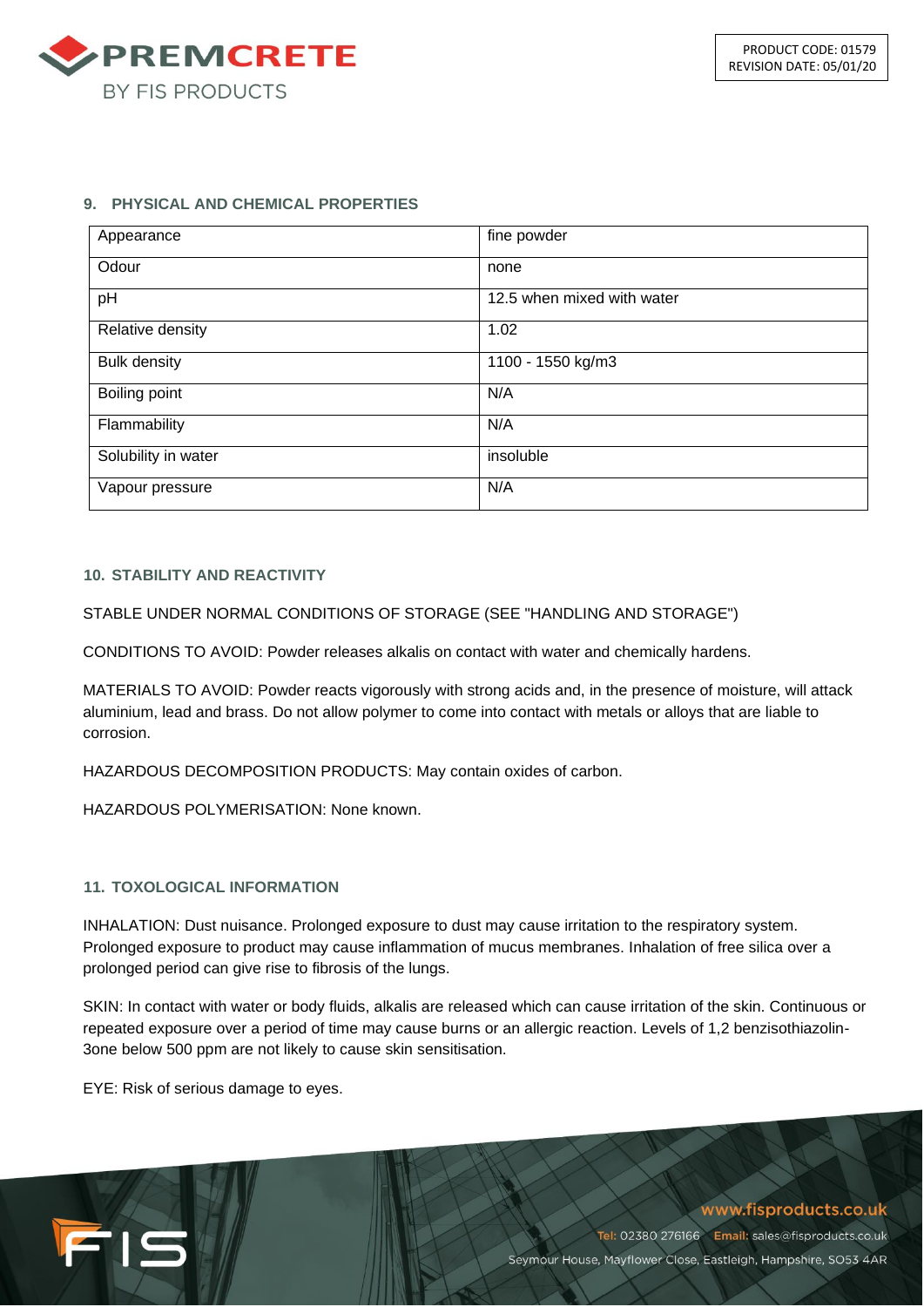

## **9. PHYSICAL AND CHEMICAL PROPERTIES**

| Appearance          | fine powder                |
|---------------------|----------------------------|
| Odour               | none                       |
| pH                  | 12.5 when mixed with water |
| Relative density    | 1.02                       |
| <b>Bulk density</b> | 1100 - 1550 kg/m3          |
| Boiling point       | N/A                        |
| Flammability        | N/A                        |
| Solubility in water | insoluble                  |
| Vapour pressure     | N/A                        |

## **10. STABILITY AND REACTIVITY**

STABLE UNDER NORMAL CONDITIONS OF STORAGE (SEE "HANDLING AND STORAGE")

CONDITIONS TO AVOID: Powder releases alkalis on contact with water and chemically hardens.

MATERIALS TO AVOID: Powder reacts vigorously with strong acids and, in the presence of moisture, will attack aluminium, lead and brass. Do not allow polymer to come into contact with metals or alloys that are liable to corrosion.

HAZARDOUS DECOMPOSITION PRODUCTS: May contain oxides of carbon.

HAZARDOUS POLYMERISATION: None known.

## **11. TOXOLOGICAL INFORMATION**

INHALATION: Dust nuisance. Prolonged exposure to dust may cause irritation to the respiratory system. Prolonged exposure to product may cause inflammation of mucus membranes. Inhalation of free silica over a prolonged period can give rise to fibrosis of the lungs.

SKIN: In contact with water or body fluids, alkalis are released which can cause irritation of the skin. Continuous or repeated exposure over a period of time may cause burns or an allergic reaction. Levels of 1,2 benzisothiazolin-3one below 500 ppm are not likely to cause skin sensitisation.

EYE: Risk of serious damage to eyes.

FIS

## www.fisproducts.co.uk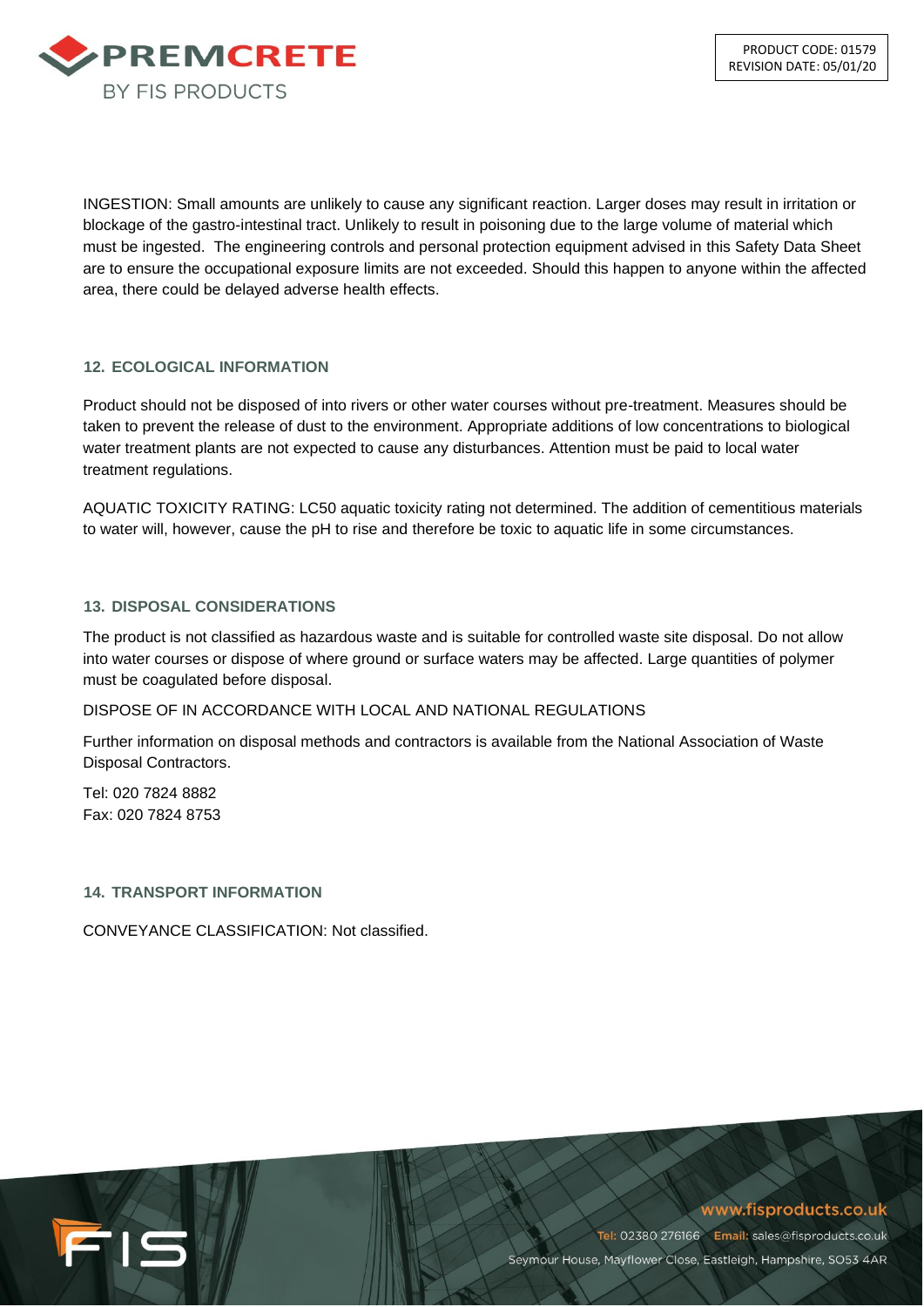

INGESTION: Small amounts are unlikely to cause any significant reaction. Larger doses may result in irritation or blockage of the gastro-intestinal tract. Unlikely to result in poisoning due to the large volume of material which must be ingested. The engineering controls and personal protection equipment advised in this Safety Data Sheet are to ensure the occupational exposure limits are not exceeded. Should this happen to anyone within the affected area, there could be delayed adverse health effects.

# **12. ECOLOGICAL INFORMATION**

Product should not be disposed of into rivers or other water courses without pre-treatment. Measures should be taken to prevent the release of dust to the environment. Appropriate additions of low concentrations to biological water treatment plants are not expected to cause any disturbances. Attention must be paid to local water treatment regulations.

AQUATIC TOXICITY RATING: LC50 aquatic toxicity rating not determined. The addition of cementitious materials to water will, however, cause the pH to rise and therefore be toxic to aquatic life in some circumstances.

# **13. DISPOSAL CONSIDERATIONS**

The product is not classified as hazardous waste and is suitable for controlled waste site disposal. Do not allow into water courses or dispose of where ground or surface waters may be affected. Large quantities of polymer must be coagulated before disposal.

## DISPOSE OF IN ACCORDANCE WITH LOCAL AND NATIONAL REGULATIONS

Further information on disposal methods and contractors is available from the National Association of Waste Disposal Contractors.

Tel: 020 7824 8882 Fax: 020 7824 8753

## **14. TRANSPORT INFORMATION**

CONVEYANCE CLASSIFICATION: Not classified.

FIS

www.fisproducts.co.uk